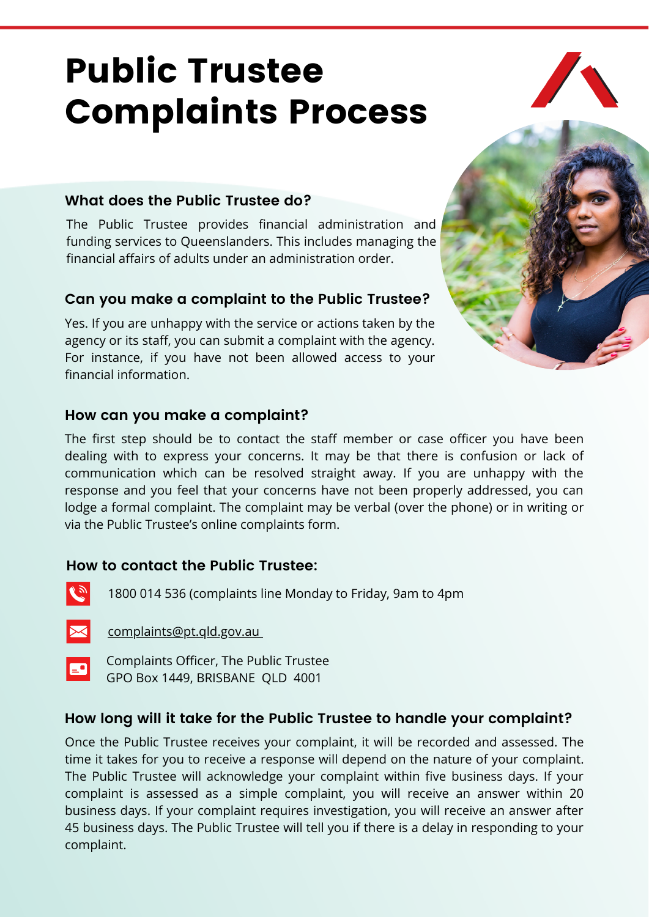# Public Trustee Complaints Process



### **What does the Public Trustee do?**

The Public Trustee provides financial administration and funding services to Queenslanders. This includes managing the financial affairs of adults under an administration order.

#### **Can you make a complaint to the Public Trustee?**

Yes. If you are unhappy with the service or actions taken by the agency or its staff, you can submit a complaint with the agency. For instance, if you have not been allowed access to your financial information.



#### **How can you make a complaint?**

The first step should be to contact the staff member or case officer you have been dealing with to express your concerns. It may be that there is confusion or lack of communication which can be resolved straight away. If you are unhappy with the response and you feel that your concerns have not been properly addressed, you can lodge a formal complaint. The complaint may be verbal (over the phone) or in writing or via the Public Trustee's online complaints form.

#### **How to contact the Public Trustee:**

 $\sqrt{y}$ 

1800 014 536 (complaints line Monday to Friday, 9am to 4pm



[complaints@pt.qld.gov.au](mailto:complaints@pt.qld.gov.au)



Complaints Officer, The Public Trustee GPO Box 1449, BRISBANE QLD 4001

# **How long will it take for the Public Trustee to handle your complaint?**

Once the Public Trustee receives your complaint, it will be recorded and assessed. The time it takes for you to receive a response will depend on the nature of your complaint. The Public Trustee will acknowledge your complaint within five business days. If your complaint is assessed as a simple complaint, you will receive an answer within 20 business days. If your complaint requires investigation, you will receive an answer after 45 business days. The Public Trustee will tell you if there is a delay in responding to your complaint.